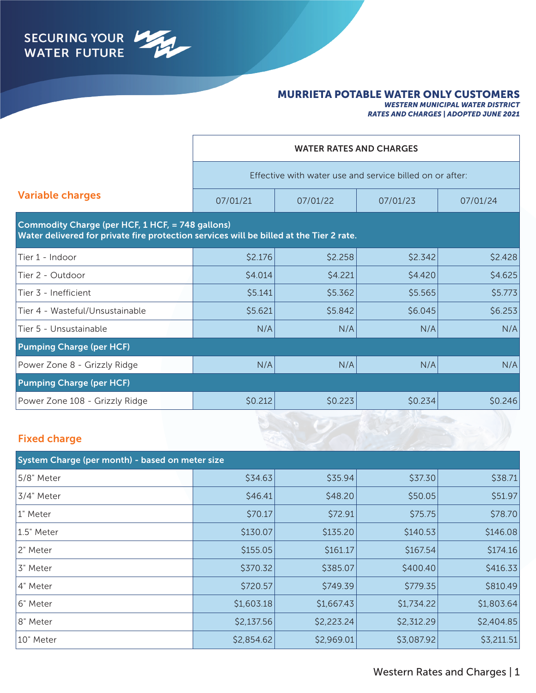

#### MURRIETA POTABLE WATER ONLY CUSTOMERS

*WESTERN MUNICIPAL WATER DISTRICT RATES AND CHARGES | ADOPTED JUNE 2021*

|                                                                                                                                             |                                                          | <b>WATER RATES AND CHARGES</b> |          |          |  |  |
|---------------------------------------------------------------------------------------------------------------------------------------------|----------------------------------------------------------|--------------------------------|----------|----------|--|--|
|                                                                                                                                             | Effective with water use and service billed on or after: |                                |          |          |  |  |
| <b>Variable charges</b>                                                                                                                     | 07/01/21                                                 | 07/01/22                       | 07/01/23 | 07/01/24 |  |  |
| Commodity Charge (per HCF, 1 HCF, = 748 gallons)<br>Water delivered for private fire protection services will be billed at the Tier 2 rate. |                                                          |                                |          |          |  |  |
| Tier 1 - Indoor                                                                                                                             | \$2.176                                                  | \$2.258                        | \$2.342  | \$2.428  |  |  |
| Tier 2 - Outdoor                                                                                                                            | \$4.014                                                  | \$4.221                        | \$4.420  | \$4.625  |  |  |
| Tier 3 - Inefficient                                                                                                                        | \$5.141                                                  | \$5.362                        | \$5.565  | \$5.773  |  |  |
| Tier 4 - Wasteful/Unsustainable                                                                                                             | \$5.621                                                  | \$5.842                        | \$6.045  | \$6.253  |  |  |
| Tier 5 - Unsustainable                                                                                                                      | N/A                                                      | N/A                            | N/A      | N/A      |  |  |
| <b>Pumping Charge (per HCF)</b>                                                                                                             |                                                          |                                |          |          |  |  |
| Power Zone 8 - Grizzly Ridge                                                                                                                | N/A                                                      | N/A                            | N/A      | N/A      |  |  |
| <b>Pumping Charge (per HCF)</b>                                                                                                             |                                                          |                                |          |          |  |  |
| Power Zone 108 - Grizzly Ridge                                                                                                              | \$0.212                                                  | \$0.223                        | \$0.234  | \$0.246  |  |  |
|                                                                                                                                             |                                                          |                                |          |          |  |  |

### Fixed charge

| System Charge (per month) - based on meter size |            |            |            |            |  |  |  |
|-------------------------------------------------|------------|------------|------------|------------|--|--|--|
| 5/8" Meter                                      | \$34.63    | \$35.94    | \$37.30    | \$38.71    |  |  |  |
| 3/4" Meter                                      | \$46.41    | \$48.20    |            | \$51.97    |  |  |  |
| 1" Meter                                        | \$70.17    | \$72.91    | \$75.75    | \$78.70    |  |  |  |
| 1.5" Meter                                      | \$130.07   | \$135.20   | \$140.53   | \$146.08   |  |  |  |
| 2" Meter                                        | \$155.05   | \$161.17   | \$167.54   | \$174.16   |  |  |  |
| 3" Meter                                        | \$370.32   | \$385.07   | \$400.40   | \$416.33   |  |  |  |
| 4" Meter                                        | \$720.57   | \$749.39   | \$779.35   | \$810.49   |  |  |  |
| 16" Meter                                       | \$1,603.18 | \$1,667.43 | \$1,734.22 | \$1,803.64 |  |  |  |
| 8" Meter                                        | \$2,137.56 | \$2,223.24 | \$2,312.29 | \$2,404.85 |  |  |  |
| 10" Meter                                       | \$2,854.62 | \$2,969.01 | \$3,087.92 | \$3,211.51 |  |  |  |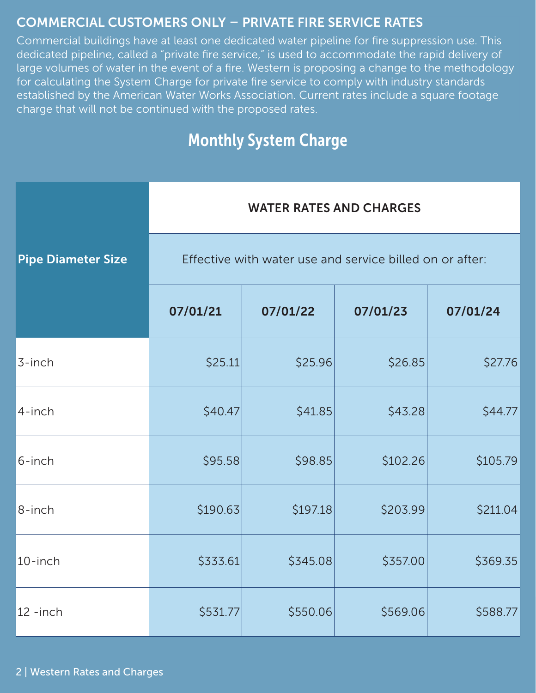# COMMERCIAL CUSTOMERS ONLY – PRIVATE FIRE SERVICE RATES

Commercial buildings have at least one dedicated water pipeline for fire suppression use. This dedicated pipeline, called a "private fire service," is used to accommodate the rapid delivery of large volumes of water in the event of a fire. Western is proposing a change to the methodology for calculating the System Charge for private fire service to comply with industry standards established by the American Water Works Association. Current rates include a square footage charge that will not be continued with the proposed rates.

# Monthly System Charge

|                           | <b>WATER RATES AND CHARGES</b>                           |          |          |          |  |  |
|---------------------------|----------------------------------------------------------|----------|----------|----------|--|--|
| <b>Pipe Diameter Size</b> | Effective with water use and service billed on or after: |          |          |          |  |  |
|                           | 07/01/21                                                 | 07/01/22 | 07/01/23 | 07/01/24 |  |  |
| 3-inch                    | \$25.11                                                  | \$25.96  | \$26.85  | \$27.76  |  |  |
| 4-inch                    | \$40.47                                                  | \$41.85  | \$43.28  | \$44.77  |  |  |
| 6-inch                    | \$95.58                                                  | \$98.85  | \$102.26 | \$105.79 |  |  |
| 8-inch                    | \$190.63                                                 | \$197.18 | \$203.99 | \$211.04 |  |  |
| 10-inch                   | \$333.61                                                 | \$345.08 | \$357.00 | \$369.35 |  |  |
| $12 - inch$               | \$531.77                                                 | \$550.06 | \$569.06 | \$588.77 |  |  |